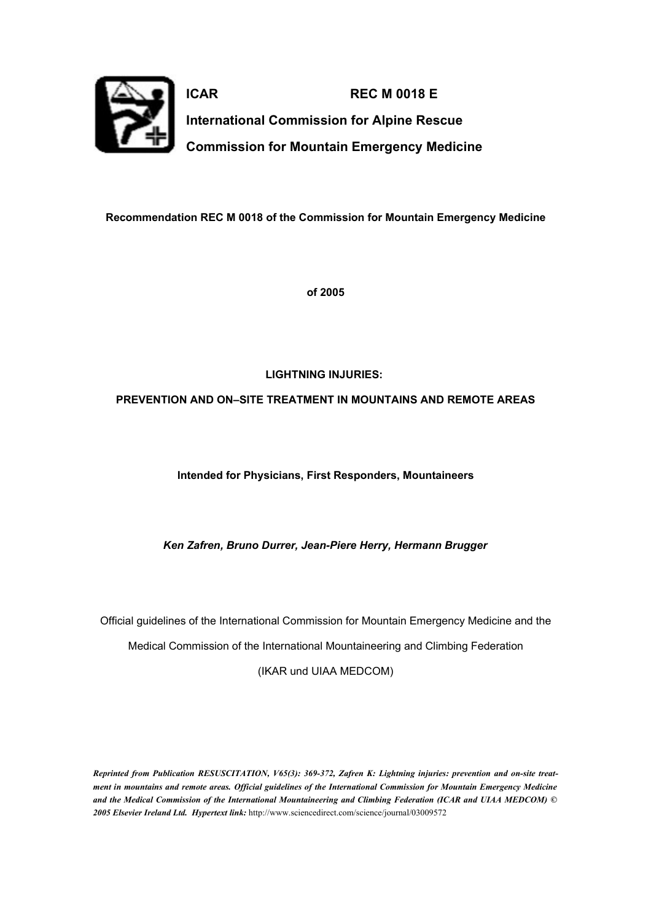

**ICAR REC M 0018 E International Commission for Alpine Rescue Commission for Mountain Emergency Medicine**

**Recommendation REC M 0018 of the Commission for Mountain Emergency Medicine**

**of 2005**

# **LIGHTNING INJURIES:**

## **PREVENTION AND ON–SITE TREATMENT IN MOUNTAINS AND REMOTE AREAS**

**Intended for Physicians, First Responders, Mountaineers**

*Ken Zafren, Bruno Durrer, Jean-Piere Herry, Hermann Brugger*

Official guidelines of the International Commission for Mountain Emergency Medicine and the Medical Commission of the International Mountaineering and Climbing Federation (IKAR und UIAA MEDCOM)

*Reprinted from Publication RESUSCITATION, V65(3): 369-372, Zafren K: Lightning injuries: prevention and on-site treat*ment in mountains and remote areas. Official guidelines of the International Commission for Mountain Emergency Medicine *and the Medical Commission of the International Mountaineering and Climbing Federation (ICAR and UIAA MEDCOM) © 2005 Elsevier Ireland Ltd. Hypertext link:* http://www.sciencedirect.com/science/journal/03009572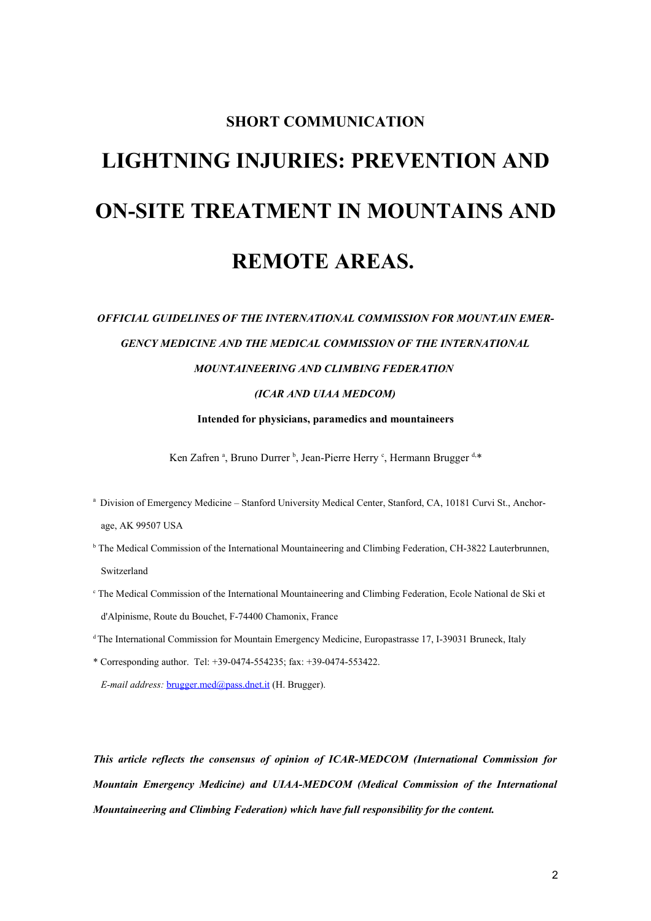# **SHORT COMMUNICATION LIGHTNING INJURIES: PREVENTION AND ON-SITE TREATMENT IN MOUNTAINS AND REMOTE AREAS.**

# *OFFICIAL GUIDELINES OF THE INTERNATIONAL COMMISSION FOR MOUNTAIN EMER-GENCY MEDICINE AND THE MEDICAL COMMISSION OF THE INTERNATIONAL MOUNTAINEERING AND CLIMBING FEDERATION*

## *(ICAR AND UIAA MEDCOM)*

**Intended for physicians, paramedics and mountaineers**

Ken Zafren<sup>a</sup>, Bruno Durrer<sup>b</sup>, Jean-Pierre Herry<sup>c</sup>, Hermann Brugger<sup>d,\*</sup>

- <sup>a</sup> Division of Emergency Medicine Stanford University Medical Center, Stanford, CA, 10181 Curvi St., Anchorage, AK 99507 USA
- <sup>b</sup> The Medical Commission of the International Mountaineering and Climbing Federation, CH-3822 Lauterbrunnen, Switzerland
- <sup>c</sup> The Medical Commission of the International Mountaineering and Climbing Federation, Ecole National de Ski et d'Alpinisme, Route du Bouchet, F-74400 Chamonix, France
- <sup>d</sup>The International Commission for Mountain Emergency Medicine, Europastrasse 17, I-39031 Bruneck, Italy
- \* Corresponding author. Tel: +39-0474-554235; fax: +39-0474-553422.

*E-mail address:* [brugger.med@pass.dnet.it](mailto:brugger.med@pass.dnet.it) (H. Brugger).

*This article reflects the consensus of opinion of ICAR-MEDCOM (International Commission for Mountain Emergency Medicine) and UIAA-MEDCOM (Medical Commission of the International Mountaineering and Climbing Federation) which have full responsibility for the content.*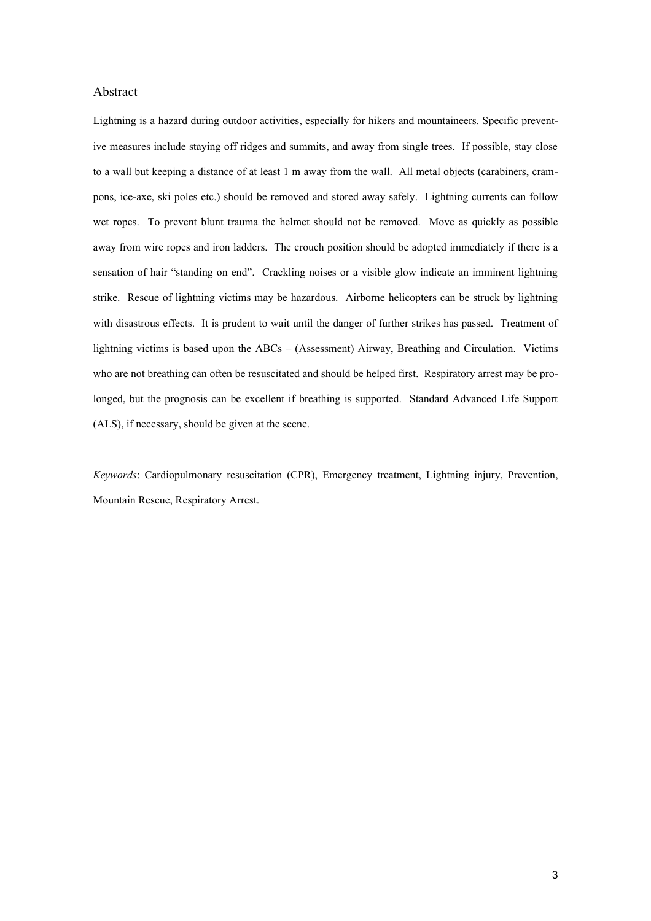#### Abstract

Lightning is a hazard during outdoor activities, especially for hikers and mountaineers. Specific preventive measures include staying off ridges and summits, and away from single trees. If possible, stay close to a wall but keeping a distance of at least 1 m away from the wall. All metal objects (carabiners, crampons, ice-axe, ski poles etc.) should be removed and stored away safely. Lightning currents can follow wet ropes. To prevent blunt trauma the helmet should not be removed. Move as quickly as possible away from wire ropes and iron ladders. The crouch position should be adopted immediately if there is a sensation of hair "standing on end". Crackling noises or a visible glow indicate an imminent lightning strike. Rescue of lightning victims may be hazardous. Airborne helicopters can be struck by lightning with disastrous effects. It is prudent to wait until the danger of further strikes has passed. Treatment of lightning victims is based upon the ABCs – (Assessment) Airway, Breathing and Circulation. Victims who are not breathing can often be resuscitated and should be helped first. Respiratory arrest may be prolonged, but the prognosis can be excellent if breathing is supported. Standard Advanced Life Support (ALS), if necessary, should be given at the scene.

*Keywords*: Cardiopulmonary resuscitation (CPR), Emergency treatment, Lightning injury, Prevention, Mountain Rescue, Respiratory Arrest.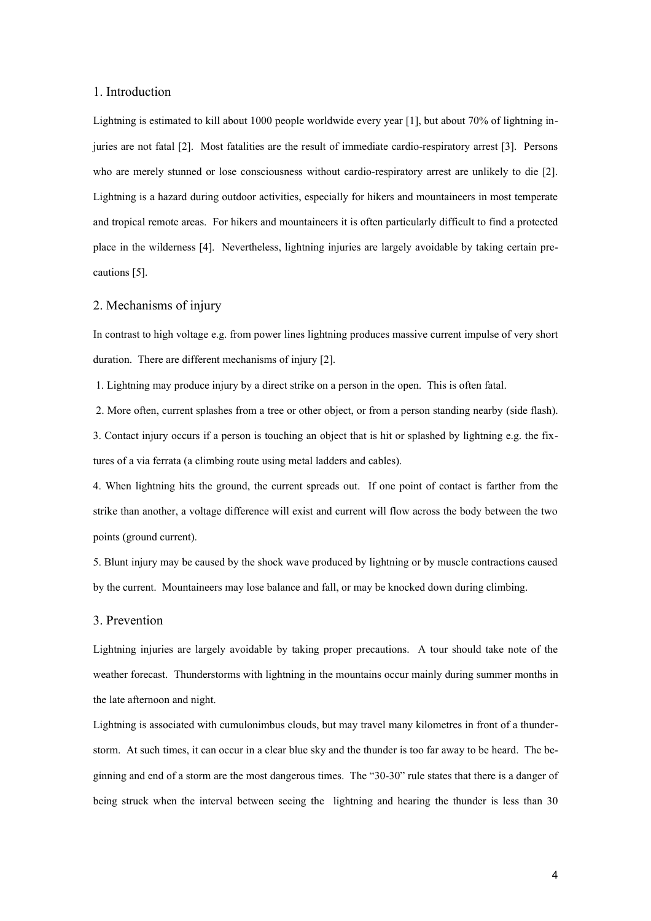#### 1. Introduction

Lightning is estimated to kill about 1000 people worldwide every year [1], but about 70% of lightning injuries are not fatal [2]. Most fatalities are the result of immediate cardio-respiratory arrest [3]. Persons who are merely stunned or lose consciousness without cardio-respiratory arrest are unlikely to die [2]. Lightning is a hazard during outdoor activities, especially for hikers and mountaineers in most temperate and tropical remote areas. For hikers and mountaineers it is often particularly difficult to find a protected place in the wilderness [4]. Nevertheless, lightning injuries are largely avoidable by taking certain precautions [5].

#### 2. Mechanisms of injury

In contrast to high voltage e.g. from power lines lightning produces massive current impulse of very short duration. There are different mechanisms of injury [2].

1. Lightning may produce injury by a direct strike on a person in the open. This is often fatal.

2. More often, current splashes from a tree or other object, or from a person standing nearby (side flash).

3. Contact injury occurs if a person is touching an object that is hit or splashed by lightning e.g. the fixtures of a via ferrata (a climbing route using metal ladders and cables).

4. When lightning hits the ground, the current spreads out. If one point of contact is farther from the strike than another, a voltage difference will exist and current will flow across the body between the two points (ground current).

5. Blunt injury may be caused by the shock wave produced by lightning or by muscle contractions caused by the current. Mountaineers may lose balance and fall, or may be knocked down during climbing.

#### 3. Prevention

Lightning injuries are largely avoidable by taking proper precautions. A tour should take note of the weather forecast. Thunderstorms with lightning in the mountains occur mainly during summer months in the late afternoon and night.

Lightning is associated with cumulonimbus clouds, but may travel many kilometres in front of a thunderstorm. At such times, it can occur in a clear blue sky and the thunder is too far away to be heard. The beginning and end of a storm are the most dangerous times. The "30-30" rule states that there is a danger of being struck when the interval between seeing the lightning and hearing the thunder is less than 30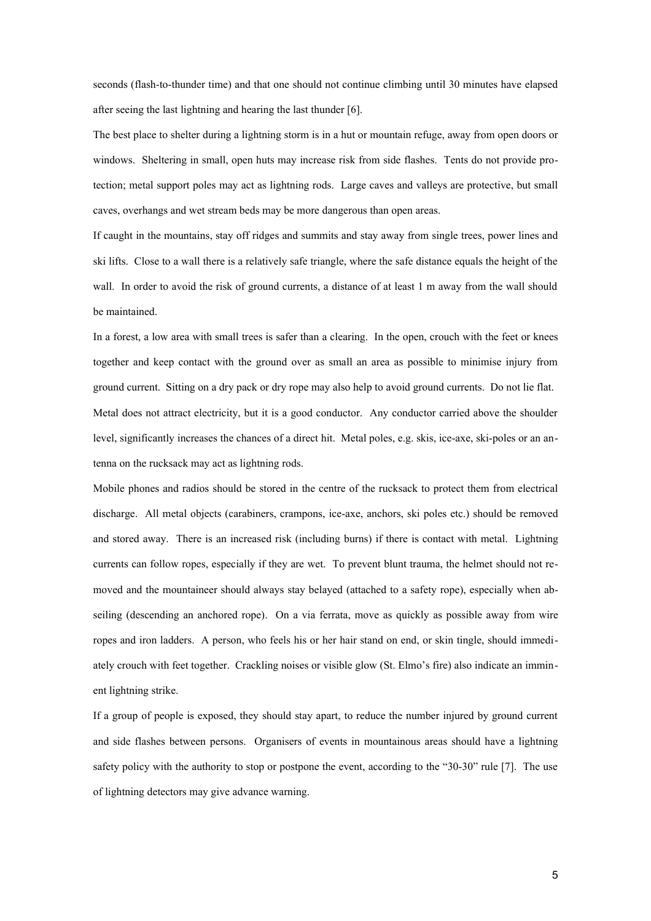seconds (flash-to-thunder time) and that one should not continue climbing until 30 minutes have elapsed after seeing the last lightning and hearing the last thunder [6].

The best place to shelter during a lightning storm is in a hut or mountain refuge, away from open doors or windows. Sheltering in small, open huts may increase risk from side flashes. Tents do not provide protection; metal support poles may act as lightning rods. Large caves and valleys are protective, but small caves, overhangs and wet stream beds may be more dangerous than open areas.

If caught in the mountains, stay off ridges and summits and stay away from single trees, power lines and ski lifts. Close to a wall there is a relatively safe triangle, where the safe distance equals the height of the wall. In order to avoid the risk of ground currents, a distance of at least 1 m away from the wall should be maintained.

In a forest, a low area with small trees is safer than a clearing. In the open, crouch with the feet or knees together and keep contact with the ground over as small an area as possible to minimise injury from ground current. Sitting on a dry pack or dry rope may also help to avoid ground currents. Do not lie flat. Metal does not attract electricity, but it is a good conductor. Any conductor carried above the shoulder level, significantly increases the chances of a direct hit. Metal poles, e.g. skis, ice-axe, ski-poles or an antenna on the rucksack may act as lightning rods.

Mobile phones and radios should be stored in the centre of the rucksack to protect them from electrical discharge. All metal objects (carabiners, crampons, ice-axe, anchors, ski poles etc.) should be removed and stored away. There is an increased risk (including burns) if there is contact with metal. Lightning currents can follow ropes, especially if they are wet. To prevent blunt trauma, the helmet should not removed and the mountaineer should always stay belayed (attached to a safety rope), especially when abseiling (descending an anchored rope). On a via ferrata, move as quickly as possible away from wire ropes and iron ladders. A person, who feels his or her hair stand on end, or skin tingle, should immediately crouch with feet together. Crackling noises or visible glow (St. Elmo's fire) also indicate an imminent lightning strike.

If a group of people is exposed, they should stay apart, to reduce the number injured by ground current and side flashes between persons. Organisers of events in mountainous areas should have a lightning safety policy with the authority to stop or postpone the event, according to the "30-30" rule [7]. The use of lightning detectors may give advance warning.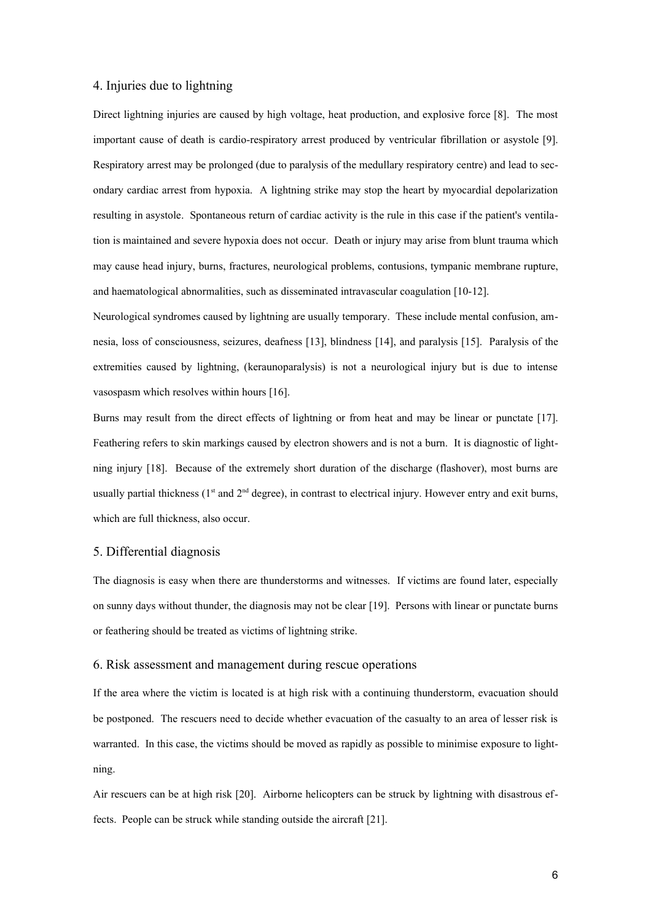#### 4. Injuries due to lightning

Direct lightning injuries are caused by high voltage, heat production, and explosive force [8]. The most important cause of death is cardio-respiratory arrest produced by ventricular fibrillation or asystole [9]. Respiratory arrest may be prolonged (due to paralysis of the medullary respiratory centre) and lead to secondary cardiac arrest from hypoxia. A lightning strike may stop the heart by myocardial depolarization resulting in asystole. Spontaneous return of cardiac activity is the rule in this case if the patient's ventilation is maintained and severe hypoxia does not occur. Death or injury may arise from blunt trauma which may cause head injury, burns, fractures, neurological problems, contusions, tympanic membrane rupture, and haematological abnormalities, such as disseminated intravascular coagulation [10-12].

Neurological syndromes caused by lightning are usually temporary. These include mental confusion, amnesia, loss of consciousness, seizures, deafness [13], blindness [14], and paralysis [15]. Paralysis of the extremities caused by lightning, (keraunoparalysis) is not a neurological injury but is due to intense vasospasm which resolves within hours [16].

Burns may result from the direct effects of lightning or from heat and may be linear or punctate [17]. Feathering refers to skin markings caused by electron showers and is not a burn. It is diagnostic of lightning injury [18]. Because of the extremely short duration of the discharge (flashover), most burns are usually partial thickness ( $1<sup>st</sup>$  and  $2<sup>nd</sup>$  degree), in contrast to electrical injury. However entry and exit burns, which are full thickness, also occur.

#### 5. Differential diagnosis

The diagnosis is easy when there are thunderstorms and witnesses. If victims are found later, especially on sunny days without thunder, the diagnosis may not be clear [19]. Persons with linear or punctate burns or feathering should be treated as victims of lightning strike.

#### 6. Risk assessment and management during rescue operations

If the area where the victim is located is at high risk with a continuing thunderstorm, evacuation should be postponed. The rescuers need to decide whether evacuation of the casualty to an area of lesser risk is warranted. In this case, the victims should be moved as rapidly as possible to minimise exposure to lightning.

Air rescuers can be at high risk [20]. Airborne helicopters can be struck by lightning with disastrous effects. People can be struck while standing outside the aircraft [21].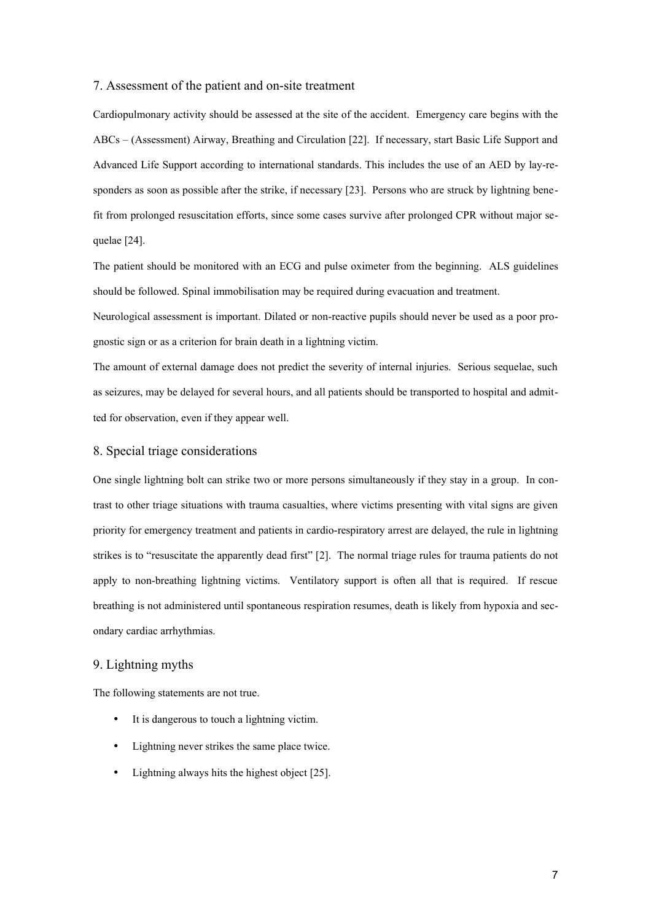#### 7. Assessment of the patient and on-site treatment

Cardiopulmonary activity should be assessed at the site of the accident. Emergency care begins with the ABCs – (Assessment) Airway, Breathing and Circulation [22]. If necessary, start Basic Life Support and Advanced Life Support according to international standards. This includes the use of an AED by lay-responders as soon as possible after the strike, if necessary [23]. Persons who are struck by lightning benefit from prolonged resuscitation efforts, since some cases survive after prolonged CPR without major sequelae [24].

The patient should be monitored with an ECG and pulse oximeter from the beginning. ALS guidelines should be followed. Spinal immobilisation may be required during evacuation and treatment.

Neurological assessment is important. Dilated or non-reactive pupils should never be used as a poor prognostic sign or as a criterion for brain death in a lightning victim.

The amount of external damage does not predict the severity of internal injuries. Serious sequelae, such as seizures, may be delayed for several hours, and all patients should be transported to hospital and admitted for observation, even if they appear well.

#### 8. Special triage considerations

One single lightning bolt can strike two or more persons simultaneously if they stay in a group. In contrast to other triage situations with trauma casualties, where victims presenting with vital signs are given priority for emergency treatment and patients in cardio-respiratory arrest are delayed, the rule in lightning strikes is to "resuscitate the apparently dead first" [2]. The normal triage rules for trauma patients do not apply to non-breathing lightning victims. Ventilatory support is often all that is required. If rescue breathing is not administered until spontaneous respiration resumes, death is likely from hypoxia and secondary cardiac arrhythmias.

#### 9. Lightning myths

The following statements are not true.

- It is dangerous to touch a lightning victim.
- Lightning never strikes the same place twice.
- Lightning always hits the highest object [25].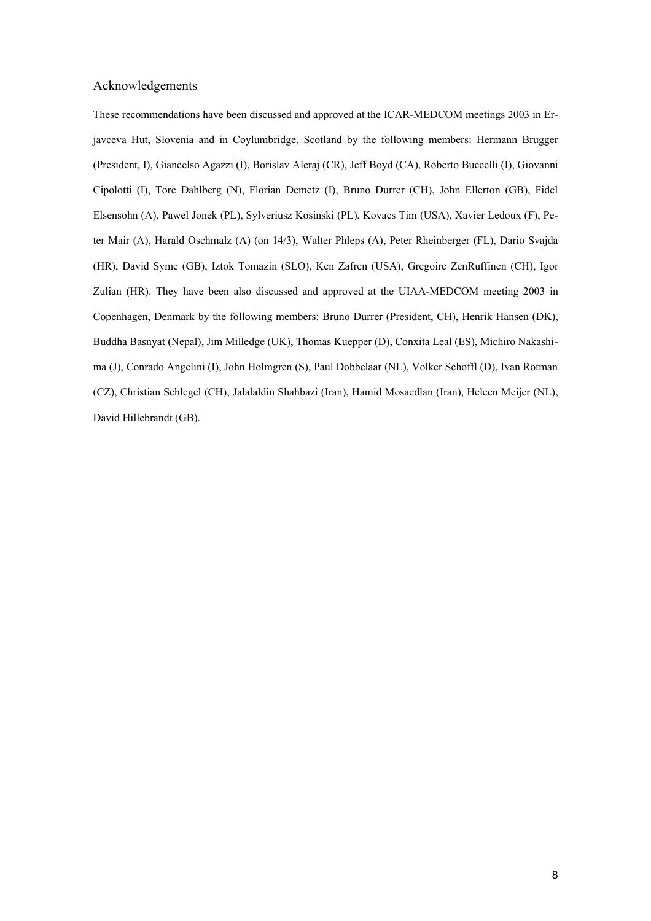#### Acknowledgements

These recommendations have been discussed and approved at the ICAR-MEDCOM meetings 2003 in Erjavceva Hut, Slovenia and in Coylumbridge, Scotland by the following members: Hermann Brugger (President, I), Giancelso Agazzi (I), Borislav Aleraj (CR), Jeff Boyd (CA), Roberto Buccelli (I), Giovanni Cipolotti (I), Tore Dahlberg (N), Florian Demetz (I), Bruno Durrer (CH), John Ellerton (GB), Fidel Elsensohn (A), Pawel Jonek (PL), Sylveriusz Kosinski (PL), Kovacs Tim (USA), Xavier Ledoux (F), Peter Mair (A), Harald Oschmalz (A) (on 14/3), Walter Phleps (A), Peter Rheinberger (FL), Dario Svajda (HR), David Syme (GB), Iztok Tomazin (SLO), Ken Zafren (USA), Gregoire ZenRuffinen (CH), Igor Zulian (HR). They have been also discussed and approved at the UIAA-MEDCOM meeting 2003 in Copenhagen, Denmark by the following members: Bruno Durrer (President, CH), Henrik Hansen (DK), Buddha Basnyat (Nepal), Jim Milledge (UK), Thomas Kuepper (D), Conxita Leal (ES), Michiro Nakashima (J), Conrado Angelini (I), John Holmgren (S), Paul Dobbelaar (NL), Volker Schoffl (D), Ivan Rotman (CZ), Christian Schlegel (CH), Jalalaldin Shahbazi (Iran), Hamid Mosaedlan (Iran), Heleen Meijer (NL), David Hillebrandt (GB).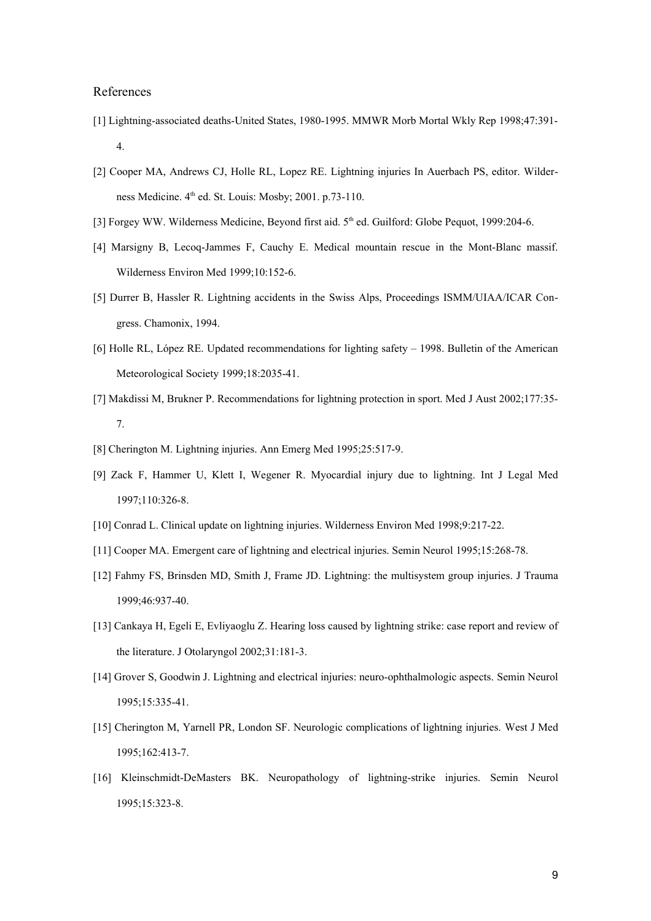#### References

- [1] Lightning-associated deaths-United States, 1980-1995. MMWR Morb Mortal Wkly Rep 1998;47:391- 4.
- [2] Cooper MA, Andrews CJ, Holle RL, Lopez RE. Lightning injuries In Auerbach PS, editor. Wilderness Medicine. 4<sup>th</sup> ed. St. Louis: Mosby; 2001. p.73-110.
- [3] Forgey WW. Wilderness Medicine, Beyond first aid. 5<sup>th</sup> ed. Guilford: Globe Pequot, 1999:204-6.
- [4] Marsigny B, Lecoq-Jammes F, Cauchy E. Medical mountain rescue in the Mont-Blanc massif. Wilderness Environ Med 1999;10:152-6.
- [5] Durrer B, Hassler R. Lightning accidents in the Swiss Alps, Proceedings ISMM/UIAA/ICAR Congress. Chamonix, 1994.
- [6] Holle RL, López RE. Updated recommendations for lighting safety 1998. Bulletin of the American Meteorological Society 1999;18:2035-41.
- [7] Makdissi M, Brukner P. Recommendations for lightning protection in sport. Med J Aust 2002;177:35- 7.
- [8] Cherington M. Lightning injuries. Ann Emerg Med 1995;25:517-9.
- [9] Zack F, Hammer U, Klett I, Wegener R. Myocardial injury due to lightning. Int J Legal Med 1997;110:326-8.
- [10] Conrad L. Clinical update on lightning injuries. Wilderness Environ Med 1998;9:217-22.
- [11] Cooper MA. Emergent care of lightning and electrical injuries. Semin Neurol 1995;15:268-78.
- [12] Fahmy FS, Brinsden MD, Smith J, Frame JD. Lightning: the multisystem group injuries. J Trauma 1999;46:937-40.
- [13] Cankaya H, Egeli E, Evliyaoglu Z. Hearing loss caused by lightning strike: case report and review of the literature. J Otolaryngol 2002;31:181-3.
- [14] Grover S, Goodwin J. Lightning and electrical injuries: neuro-ophthalmologic aspects. Semin Neurol 1995;15:335-41.
- [15] Cherington M, Yarnell PR, London SF. Neurologic complications of lightning injuries. West J Med 1995;162:413-7.
- [16] Kleinschmidt-DeMasters BK. Neuropathology of lightning-strike injuries. Semin Neurol 1995;15:323-8.